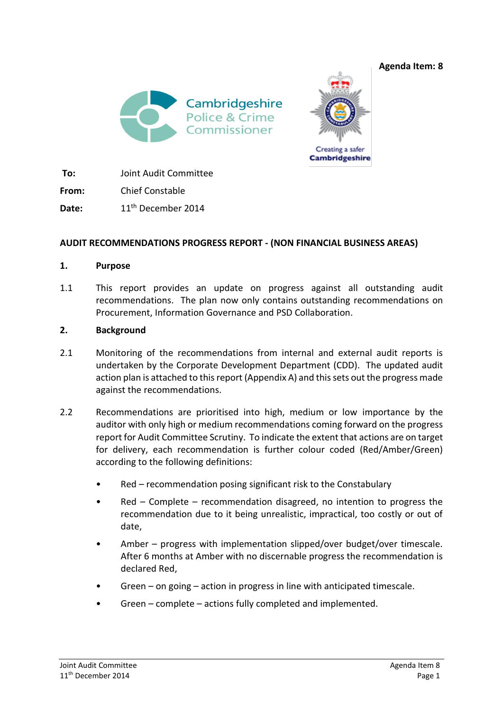



**To:** Joint Audit Committee

**From:** Chief Constable

Date: 11<sup>th</sup> December 2014

# **AUDIT RECOMMENDATIONS PROGRESS REPORT - (NON FINANCIAL BUSINESS AREAS)**

### **1. Purpose**

1.1 This report provides an update on progress against all outstanding audit recommendations. The plan now only contains outstanding recommendations on Procurement, Information Governance and PSD Collaboration.

## **2. Background**

- 2.1 Monitoring of the recommendations from internal and external audit reports is undertaken by the Corporate Development Department (CDD). The updated audit action plan is attached to this report (Appendix A) and this sets out the progress made against the recommendations.
- 2.2 Recommendations are prioritised into high, medium or low importance by the auditor with only high or medium recommendations coming forward on the progress report for Audit Committee Scrutiny. To indicate the extent that actions are on target for delivery, each recommendation is further colour coded (Red/Amber/Green) according to the following definitions:
	- Red recommendation posing significant risk to the Constabulary
	- Red Complete recommendation disagreed, no intention to progress the recommendation due to it being unrealistic, impractical, too costly or out of date,
	- Amber progress with implementation slipped/over budget/over timescale. After 6 months at Amber with no discernable progress the recommendation is declared Red,
	- Green  $-$  on going  $-$  action in progress in line with anticipated timescale.
	- Green complete actions fully completed and implemented.